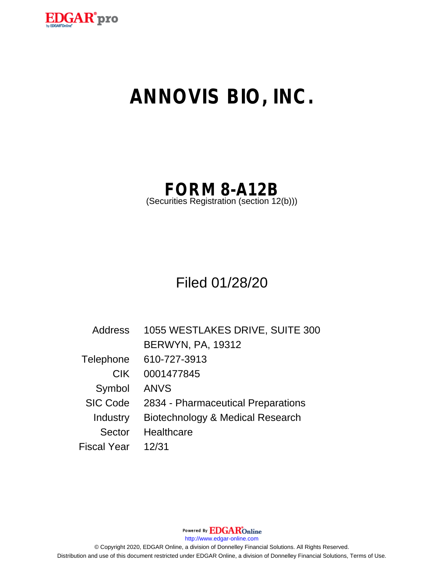

# **ANNOVIS BIO, INC.**

**FORM 8-A12B**

(Securities Registration (section 12(b)))

Filed 01/28/20

| <b>Address</b>     | 1055 WESTLAKES DRIVE, SUITE 300    |  |
|--------------------|------------------------------------|--|
|                    | <b>BERWYN, PA, 19312</b>           |  |
| Telephone          | 610-727-3913                       |  |
| <b>CIK</b>         | 0001477845                         |  |
| Symbol             | <b>ANVS</b>                        |  |
| <b>SIC Code</b>    | 2834 - Pharmaceutical Preparations |  |
| Industry           | Biotechnology & Medical Research   |  |
| Sector             | Healthcare                         |  |
| <b>Fiscal Year</b> | 12/31                              |  |

Powered By EDGAROnline

http://www.edgar-online.com

© Copyright 2020, EDGAR Online, a division of Donnelley Financial Solutions. All Rights Reserved. Distribution and use of this document restricted under EDGAR Online, a division of Donnelley Financial Solutions, Terms of Use.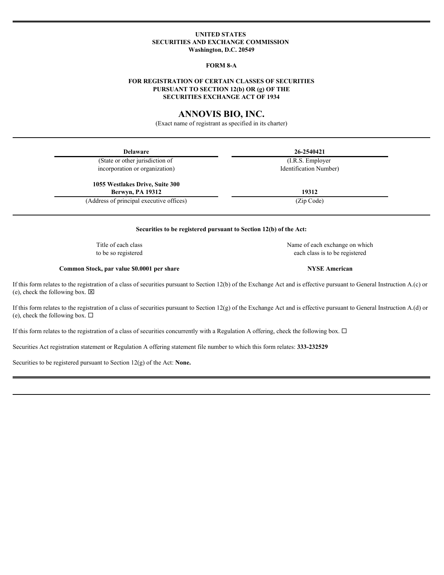# **UNITED STATES SECURITIES AND EXCHANGE COMMISSION Washington, D.C. 20549**

# **FORM 8-A**

# **FOR REGISTRATION OF CERTAIN CLASSES OF SECURITIES PURSUANT TO SECTION 12(b) OR (g) OF THE SECURITIES EXCHANGE ACT OF 1934**

# **ANNOVIS BIO, INC.**

(Exact name of registrant as specified in its charter)

| <b>Delaware</b>                                                                                                                                                                                                        | 26-2540421                                   |
|------------------------------------------------------------------------------------------------------------------------------------------------------------------------------------------------------------------------|----------------------------------------------|
| (State or other jurisdiction of                                                                                                                                                                                        | $\overline{(\text{I.R.S.}\text{ Emplayer})}$ |
| incorporation or organization)                                                                                                                                                                                         | Identification Number)                       |
| 1055 Westlakes Drive, Suite 300                                                                                                                                                                                        |                                              |
| <b>Berwyn, PA 19312</b>                                                                                                                                                                                                | 19312                                        |
| (Address of principal executive offices)                                                                                                                                                                               | (Zip Code)                                   |
|                                                                                                                                                                                                                        |                                              |
| Securities to be registered pursuant to Section 12(b) of the Act:                                                                                                                                                      |                                              |
| Title of each class                                                                                                                                                                                                    | Name of each exchange on which               |
| to be so registered                                                                                                                                                                                                    | each class is to be registered               |
| Common Stock, par value \$0.0001 per share                                                                                                                                                                             | <b>NYSE American</b>                         |
| If this form relates to the registration of a class of securities pursuant to Section 12(b) of the Exchange Act and is effective pursuant to General Instruction A.(c) or<br>(e), check the following box. $\boxtimes$ |                                              |
| If this form relates to the registration of a class of securities pursuant to Section 12(g) of the Exchange Act and is effective pursuant to General Instruction A.(d) or<br>(e), check the following box. $\Box$      |                                              |
| If this form relates to the registration of a class of securities concurrently with a Regulation A offering, check the following box. $\Box$                                                                           |                                              |
| Securities Act registration statement or Regulation A offering statement file number to which this form relates: 333-232529                                                                                            |                                              |
| Securities to be registered pursuant to Section $12(g)$ of the Act: None.                                                                                                                                              |                                              |
|                                                                                                                                                                                                                        |                                              |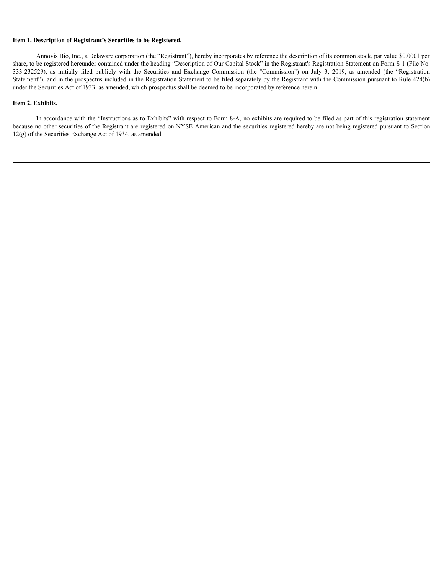## **Item 1. Description of Registrant's Securities to be Registered.**

Annovis Bio, Inc., a Delaware corporation (the "Registrant"), hereby incorporates by reference the description of its common stock, par value \$0.0001 per share, to be registered hereunder contained under the heading "Description of Our Capital Stock" in the Registrant's Registration Statement on Form S-1 (File No. 333-232529), as initially filed publicly with the Securities 1. Description of Registrant's Securities to be Registered.<br>
Annovis Bio, Inc., a Delaware corporation (the "Registrant"), hereby incorporates by reference the description of its common stock, par value \$0.0001 per<br>
Share, Statement"), and in the prospectus included in the Registration Statement to be filed separately by the Registrant with the Commission pursuant to Rule 424(b) under the Securities Act of 1933, as amended, which prospectus shall be deemed to be incorporated by reference herein.

### **Item 2. Exhibits.**

In accordance with the "Instructions as to Exhibits" with respect to Form 8-A, no exhibits are required to be filed as part of this registration statement because no other securities of the Registrant are registered on NYSE American and the securities registered hereby are not being registered pursuant to Section 12(g) of the Securities Exchange Act of 1934, as amended.